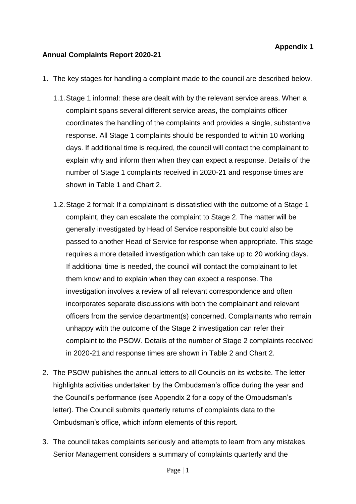### **Annual Complaints Report 2020-21**

- 1. The key stages for handling a complaint made to the council are described below.
	- 1.1.Stage 1 informal: these are dealt with by the relevant service areas. When a complaint spans several different service areas, the complaints officer coordinates the handling of the complaints and provides a single, substantive response. All Stage 1 complaints should be responded to within 10 working days. If additional time is required, the council will contact the complainant to explain why and inform then when they can expect a response. Details of the number of Stage 1 complaints received in 2020-21 and response times are shown in Table 1 and Chart 2.
	- 1.2.Stage 2 formal: If a complainant is dissatisfied with the outcome of a Stage 1 complaint, they can escalate the complaint to Stage 2. The matter will be generally investigated by Head of Service responsible but could also be passed to another Head of Service for response when appropriate. This stage requires a more detailed investigation which can take up to 20 working days. If additional time is needed, the council will contact the complainant to let them know and to explain when they can expect a response. The investigation involves a review of all relevant correspondence and often incorporates separate discussions with both the complainant and relevant officers from the service department(s) concerned. Complainants who remain unhappy with the outcome of the Stage 2 investigation can refer their complaint to the PSOW. Details of the number of Stage 2 complaints received in 2020-21 and response times are shown in Table 2 and Chart 2.
- 2. The PSOW publishes the annual letters to all Councils on its website. The letter highlights activities undertaken by the Ombudsman's office during the year and the Council's performance (see Appendix 2 for a copy of the Ombudsman's letter). The Council submits quarterly returns of complaints data to the Ombudsman's office, which inform elements of this report.
- 3. The council takes complaints seriously and attempts to learn from any mistakes. Senior Management considers a summary of complaints quarterly and the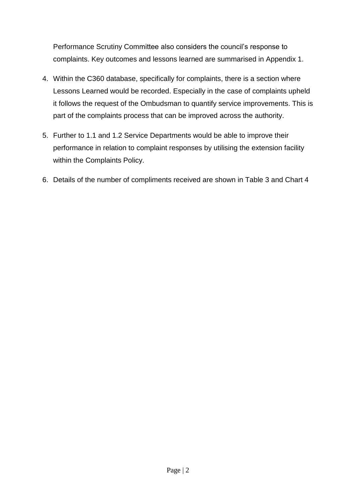Performance Scrutiny Committee also considers the council's response to complaints. Key outcomes and lessons learned are summarised in Appendix 1.

- 4. Within the C360 database, specifically for complaints, there is a section where Lessons Learned would be recorded. Especially in the case of complaints upheld it follows the request of the Ombudsman to quantify service improvements. This is part of the complaints process that can be improved across the authority.
- 5. Further to 1.1 and 1.2 Service Departments would be able to improve their performance in relation to complaint responses by utilising the extension facility within the Complaints Policy.
- 6. Details of the number of compliments received are shown in Table 3 and Chart 4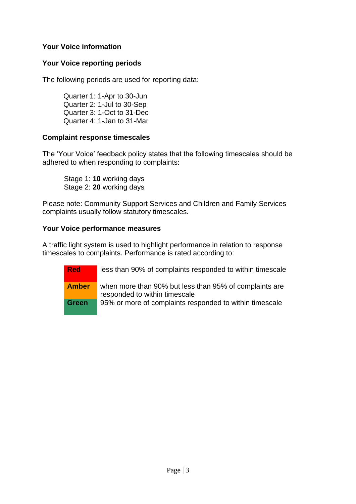# **Your Voice information**

## **Your Voice reporting periods**

The following periods are used for reporting data:

Quarter 1: 1-Apr to 30-Jun Quarter 2: 1-Jul to 30-Sep Quarter 3: 1-Oct to 31-Dec Quarter 4: 1-Jan to 31-Mar

### **Complaint response timescales**

The 'Your Voice' feedback policy states that the following timescales should be adhered to when responding to complaints:

Stage 1: **10** working days Stage 2: **20** working days

Please note: Community Support Services and Children and Family Services complaints usually follow statutory timescales.

# **Your Voice performance measures**

A traffic light system is used to highlight performance in relation to response timescales to complaints. Performance is rated according to:

**Red** less than 90% of complaints responded to within timescale **Amber** when more than 90% but less than 95% of complaints are responded to within timescale **Green** 95% or more of complaints responded to within timescale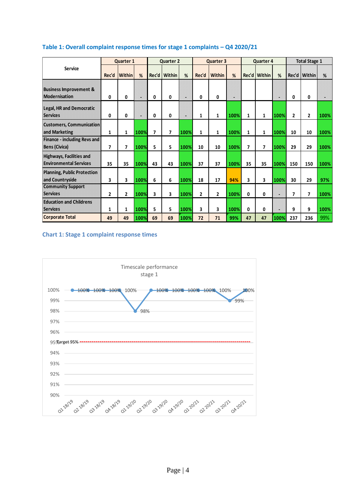|                                                                  | Quarter 1      |                          |        |                          | <b>Quarter 2</b> |      |              | Quarter 3      |      |    | Quarter 4      |      |              | <b>Total Stage 1</b> |      |  |
|------------------------------------------------------------------|----------------|--------------------------|--------|--------------------------|------------------|------|--------------|----------------|------|----|----------------|------|--------------|----------------------|------|--|
| <b>Service</b>                                                   | Rec'd          | <b>Within</b>            | %      | Rec'd                    | Within           | %    | Rec'd        | Within         | %    |    | Rec'd   Within | %    | Rec'd        | <b>Within</b>        | %    |  |
| <b>Business Improvement &amp;</b><br><b>Modernisation</b>        | 0              | 0                        | ı.     | 0                        | 0                | ш    | 0            | 0              | 猫    |    |                | э    | 0            | 0                    |      |  |
| <b>Legal, HR and Democratic</b><br><b>Services</b>               | 0              | 0                        | $\sim$ | 0                        | 0                | в    | $\mathbf{1}$ | 1              | 100% | 1  | 1              | 100% | $\mathbf{2}$ | $\mathbf{2}$         | 100% |  |
| <b>Customers, Communication</b><br>and Marketing                 | 1              | 1                        | 100%   | $\overline{\phantom{a}}$ | 7                | 100% | $\mathbf{1}$ | 1              | 100% | 1  | 1              | 100% | 10           | 10                   | 100% |  |
| <b>Finance - including Revs and</b><br><b>Bens (Civica)</b>      | 7              | $\overline{\phantom{a}}$ | 100%   | 5                        | 5                | 100% | 10           | 10             | 100% | 7  | 7              | 100% | 29           | 29                   | 100% |  |
| <b>Highways, Facilities and</b><br><b>Environmental Services</b> | 35             | 35                       | 100%   | 43                       | 43               | 100% | 37           | 37             | 100% | 35 | 35             | 100% | 150          | 150                  | 100% |  |
| <b>Planning, Public Protection</b><br>and Countryside            | 3              | 3                        | 100%   | 6                        | 6                | 100% | 18           | 17             | 94%  | 3  | 3              | 100% | 30           | 29                   | 97%  |  |
| <b>Community Support</b><br><b>Services</b>                      | $\overline{2}$ | $\mathbf{2}$             | 100%   | 3                        | 3                | 100% | $\mathbf{2}$ | $\overline{2}$ | 100% | 0  | 0              | ч    | 7            | 7                    | 100% |  |
| <b>Education and Childrens</b><br><b>Services</b>                | 1              | 1                        | 100%   | 5                        | 5                | 100% | 3            | 3              | 100% | 0  | 0              | 의    | 9            | 9                    | 100% |  |
| <b>Corporate Total</b>                                           | 49             | 49                       | 100%   | 69                       | 69               | 100% | 72           | 71             | 99%  | 47 | 47             | 100% | 237          | 236                  | 99%  |  |

### **Table 1: Overall complaint response times for stage 1 complaints – Q4 2020/21**

#### **Chart 1: Stage 1 complaint response times**

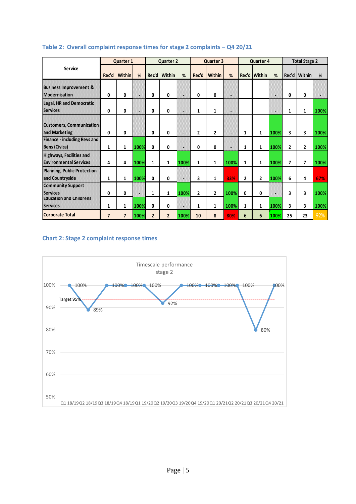|                                                                  | <b>Quarter 1</b>         |                          |      | <b>Quarter 2</b> |                |      | Quarter 3      |                |      | Quarter 4      |                |      | <b>Total Stage 2</b> |               |      |
|------------------------------------------------------------------|--------------------------|--------------------------|------|------------------|----------------|------|----------------|----------------|------|----------------|----------------|------|----------------------|---------------|------|
| <b>Service</b>                                                   | Rec'd                    | <b>Within</b>            | %    |                  | Rec'd   Within | %    | Rec'd          | <b>Within</b>  | %    |                | Rec'd Within   | %    | Rec'd                | <b>Within</b> | %    |
| <b>Business Improvement &amp;</b><br><b>Modernisation</b>        | 0                        | 0                        | ×    | 0                | 0              |      | 0              | 0              | φ    |                |                | 溢    | 0                    | 0             |      |
| <b>Legal, HR and Democratic</b><br><b>Services</b>               | 0                        | 0                        | e    | 0                | 0              |      | 1              | 1              | в    |                |                | ш    | 1                    | 1             | 100% |
| <b>Customers, Communication</b><br>and Marketing                 | 0                        | 0                        | ×    | 0                | 0              |      | $\overline{2}$ | $\mathbf{2}$   | u    | 1              | 1              | 100% | 3                    | 3             | 100% |
| <b>Finance - including Revs and</b><br><b>Bens (Civica)</b>      | 1                        | 1                        | 100% | $\mathbf{0}$     | 0              |      | 0              | 0              | н    | 1              | 1              | 100% | $\overline{2}$       | $\mathbf{2}$  | 100% |
| <b>Highways, Facilities and</b><br><b>Environmental Services</b> | 4                        | 4                        | 100% | 1                | 1              | 100% | 1              | 1              | 100% | 1              | 1              | 100% | $\overline{7}$       | 7             | 100% |
| <b>Planning, Public Protection</b><br>and Countryside            | 1                        | 1                        | 100% | 0                | 0              | 甾    | 3              | 1              | 33%  | $\overline{2}$ | $\overline{2}$ | 100% | 6                    | 4             | 67%  |
| <b>Community Support</b><br><b>Services</b>                      | 0                        | 0                        | ٠    | $\mathbf{1}$     | 1              | 100% | $\overline{2}$ | $\overline{2}$ | 100% | 0              | 0              | 崖    | 3                    | 3             | 100% |
| <b>Education and Childrens</b><br><b>Services</b>                | 1                        | 1                        | 100% | 0                | 0              | 밣    | 1              | 1              | 100% | 1              | 1              | 100% | 3                    | 3             | 100% |
| <b>Corporate Total</b>                                           | $\overline{\phantom{a}}$ | $\overline{\phantom{a}}$ | 100% | $\overline{2}$   | $\overline{2}$ | 100% | 10             | 8              | 80%  | 6              | 6              | 100% | 25                   | 23            | 92%  |

#### **Table 2: Overall complaint response times for stage 2 complaints – Q4 20/21**

#### **Chart 2: Stage 2 complaint response times**

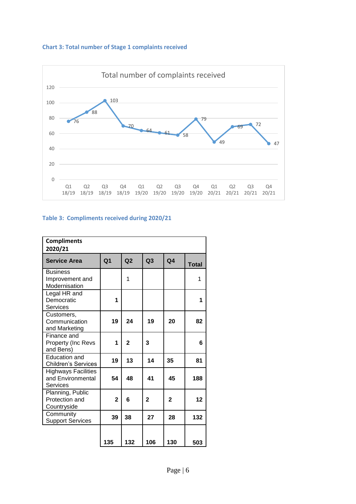



### **Table 3: Compliments received during 2020/21**

| <b>Compliments</b><br>2020/21                               |                |                |                |                |              |  |  |  |  |
|-------------------------------------------------------------|----------------|----------------|----------------|----------------|--------------|--|--|--|--|
| <b>Service Area</b>                                         | Q <sub>1</sub> | Q <sub>2</sub> | Q <sub>3</sub> | Q <sub>4</sub> | <b>Total</b> |  |  |  |  |
| <b>Business</b><br>Improvement and<br>Modernisation         |                | 1              |                |                | 1            |  |  |  |  |
| Legal HR and<br>Democratic<br><b>Services</b>               | 1              |                |                |                | 1            |  |  |  |  |
| Customers,<br>Communication<br>and Marketing                | 19             | 24             | 19             | 20             | 82           |  |  |  |  |
| Finance and<br>Property (Inc Revs<br>and Bens)              | 1              | $\overline{2}$ | 3              |                | 6            |  |  |  |  |
| Education and<br><b>Children's Services</b>                 | 19             | 13             | 14             | 35             | 81           |  |  |  |  |
| <b>Highways Facilities</b><br>and Environmental<br>Services | 54             | 48             | 41             | 45             | 188          |  |  |  |  |
| Planning, Public<br>Protection and<br>Countryside           | $\overline{2}$ | 6              | $\overline{2}$ | $\overline{2}$ | 12           |  |  |  |  |
| Community<br><b>Support Services</b>                        | 39             | 38             | 27             | 28             | 132          |  |  |  |  |
|                                                             | 135            | 132            | 106            | 130            | 503          |  |  |  |  |